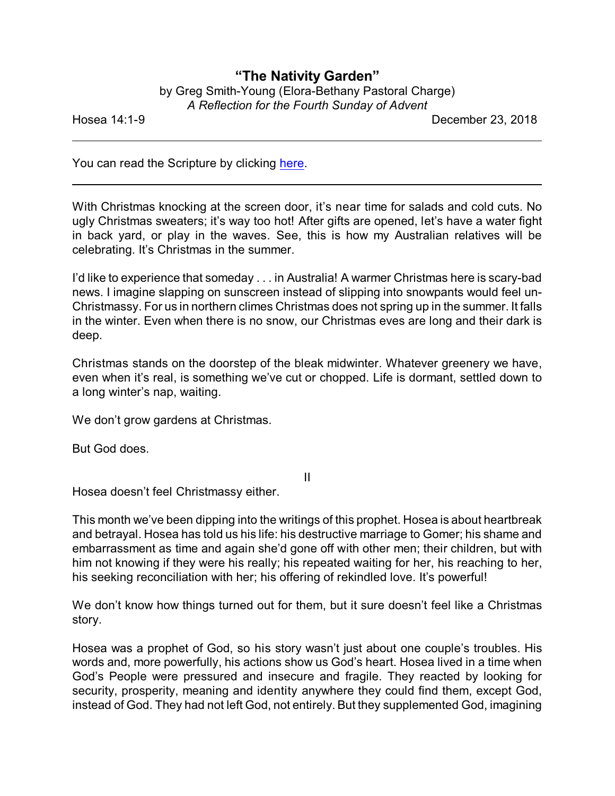## **"The Nativity Garden"**

| by Greg Smith-Young (Elora-Bethany Pastoral Charge) |
|-----------------------------------------------------|
| A Reflection for the Fourth Sunday of Advent        |

Hosea 14:1-9 December 23, 2018

You can read the Scripture by clicking [here](https://www.biblegateway.com/passage/?search=Hosea+14&version=CEB).

With Christmas knocking at the screen door, it's near time for salads and cold cuts. No ugly Christmas sweaters; it's way too hot! After gifts are opened, let's have a water fight in back yard, or play in the waves. See, this is how my Australian relatives will be celebrating. It's Christmas in the summer.

I'd like to experience that someday . . . in Australia! A warmer Christmas here is scary-bad news. I imagine slapping on sunscreen instead of slipping into snowpants would feel un-Christmassy. For us in northern climes Christmas does not spring up in the summer. It falls in the winter. Even when there is no snow, our Christmas eves are long and their dark is deep.

Christmas stands on the doorstep of the bleak midwinter. Whatever greenery we have, even when it's real, is something we've cut or chopped. Life is dormant, settled down to a long winter's nap, waiting.

We don't grow gardens at Christmas.

But God does.

II

Hosea doesn't feel Christmassy either.

This month we've been dipping into the writings of this prophet. Hosea is about heartbreak and betrayal. Hosea has told us his life: his destructive marriage to Gomer; his shame and embarrassment as time and again she'd gone off with other men; their children, but with him not knowing if they were his really; his repeated waiting for her, his reaching to her, his seeking reconciliation with her; his offering of rekindled love. It's powerful!

We don't know how things turned out for them, but it sure doesn't feel like a Christmas story.

Hosea was a prophet of God, so his story wasn't just about one couple's troubles. His words and, more powerfully, his actions show us God's heart. Hosea lived in a time when God's People were pressured and insecure and fragile. They reacted by looking for security, prosperity, meaning and identity anywhere they could find them, except God, instead of God. They had not left God, not entirely. But they supplemented God, imagining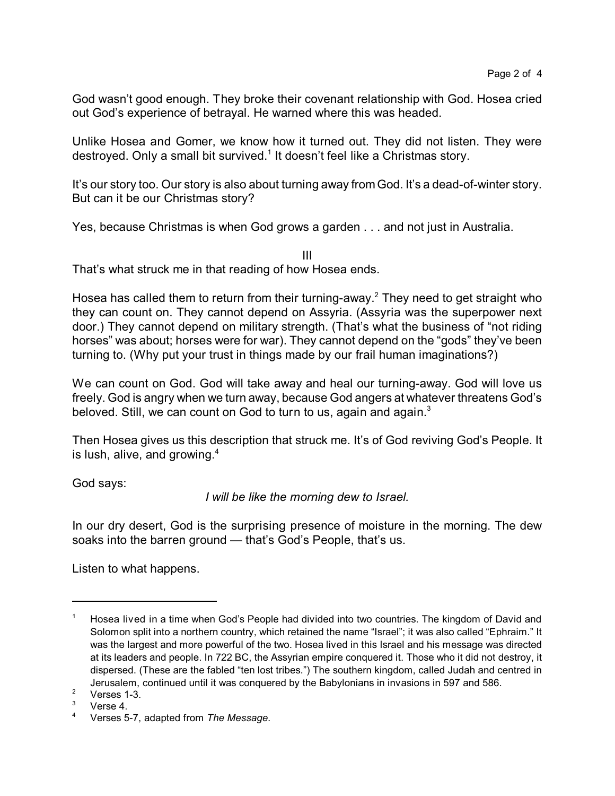God wasn't good enough. They broke their covenant relationship with God. Hosea cried out God's experience of betrayal. He warned where this was headed.

Unlike Hosea and Gomer, we know how it turned out. They did not listen. They were destroyed. Only a small bit survived.<sup>1</sup> It doesn't feel like a Christmas story.

It's our story too. Our story is also about turning away from God. It's a dead-of-winter story. But can it be our Christmas story?

Yes, because Christmas is when God grows a garden . . . and not just in Australia.

III That's what struck me in that reading of how Hosea ends.

Hosea has called them to return from their turning-away.<sup>2</sup> They need to get straight who they can count on. They cannot depend on Assyria. (Assyria was the superpower next door.) They cannot depend on military strength. (That's what the business of "not riding horses" was about; horses were for war). They cannot depend on the "gods" they've been turning to. (Why put your trust in things made by our frail human imaginations?)

We can count on God. God will take away and heal our turning-away. God will love us freely. God is angry when we turn away, because God angers at whatever threatens God's beloved. Still, we can count on God to turn to us, again and again.<sup>3</sup>

Then Hosea gives us this description that struck me. It's of God reviving God's People. It is lush, alive, and growing. $4$ 

God says:

*I will be like the morning dew to Israel.*

In our dry desert, God is the surprising presence of moisture in the morning. The dew soaks into the barren ground — that's God's People, that's us.

Listen to what happens.

Hosea lived in a time when God's People had divided into two countries. The kingdom of David and Solomon split into a northern country, which retained the name "Israel"; it was also called "Ephraim." It was the largest and more powerful of the two. Hosea lived in this Israel and his message was directed at its leaders and people. In 722 BC, the Assyrian empire conquered it. Those who it did not destroy, it dispersed. (These are the fabled "ten lost tribes.") The southern kingdom, called Judah and centred in Jerusalem, continued until it was conquered by the Babylonians in invasions in 597 and 586.

 $2$  Verses 1-3.

 $3$  Verse 4.

<sup>4</sup> Verses 5-7, adapted from *The Message*.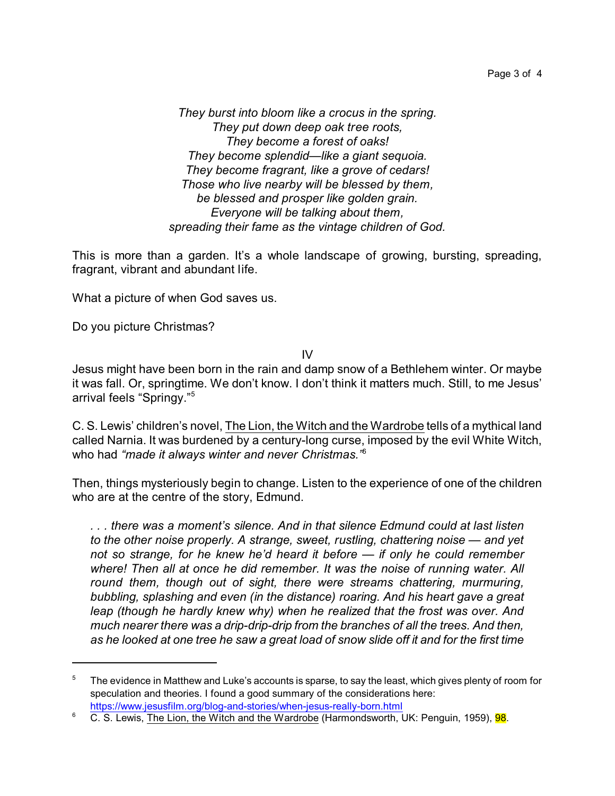Page 3 of 4

*They burst into bloom like a crocus in the spring. They put down deep oak tree roots, They become a forest of oaks! They become splendid—like a giant sequoia. They become fragrant, like a grove of cedars! Those who live nearby will be blessed by them, be blessed and prosper like golden grain. Everyone will be talking about them, spreading their fame as the vintage children of God.*

This is more than a garden. It's a whole landscape of growing, bursting, spreading, fragrant, vibrant and abundant life.

What a picture of when God saves us.

Do you picture Christmas?

IV

Jesus might have been born in the rain and damp snow of a Bethlehem winter. Or maybe it was fall. Or, springtime. We don't know. I don't think it matters much. Still, to me Jesus' arrival feels "Springy."<sup>5</sup>

C. S. Lewis' children's novel, The Lion, the Witch and the Wardrobe tells of a mythical land called Narnia. It was burdened by a century-long curse, imposed by the evil White Witch, who had *"made it always winter and never Christmas."*<sup>6</sup>

Then, things mysteriously begin to change. Listen to the experience of one of the children who are at the centre of the story, Edmund.

*. . . there was a moment's silence. And in that silence Edmund could at last listen to the other noise properly. A strange, sweet, rustling, chattering noise — and yet not so strange, for he knew he'd heard it before — if only he could remember where! Then all at once he did remember. It was the noise of running water. All round them, though out of sight, there were streams chattering, murmuring, bubbling, splashing and even (in the distance) roaring. And his heart gave a great leap (though he hardly knew why) when he realized that the frost was over. And much nearer there was a drip-drip-drip from the branches of all the trees. And then, as he looked at one tree he saw a great load of snow slide off it and for the first time*

The evidence in Matthew and Luke's accounts is sparse, to say the least, which gives plenty of room for speculation and theories. I found a good summary of the considerations here: <https://www.jesusfilm.org/blog-and-stories/when-jesus-really-born.html>

<sup>&</sup>lt;sup>6</sup> C. S. Lewis, The Lion, the Witch and the Wardrobe (Harmondsworth, UK: Penguin, 1959), 98.